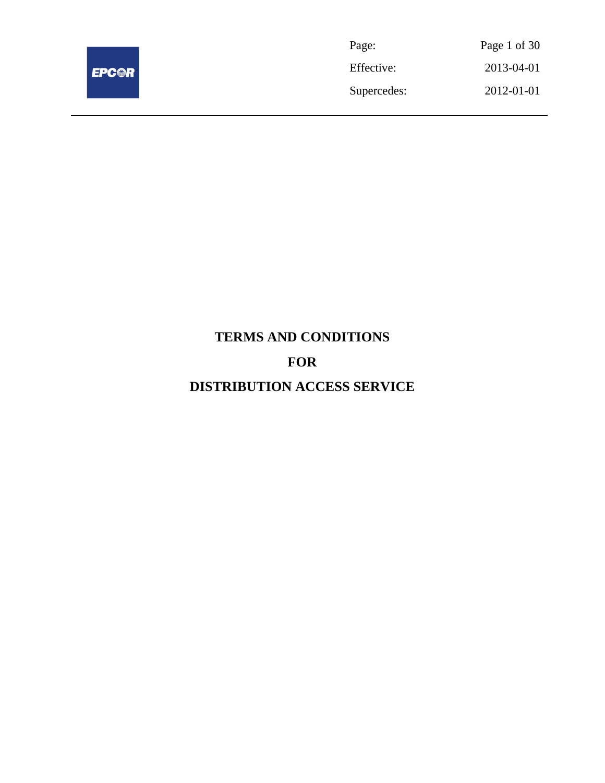

Page: Page 1 of 30 Effective: 2013-04-01 Supercedes: 2012-01-01

# **TERMS AND CONDITIONS FOR DISTRIBUTION ACCESS SERVICE**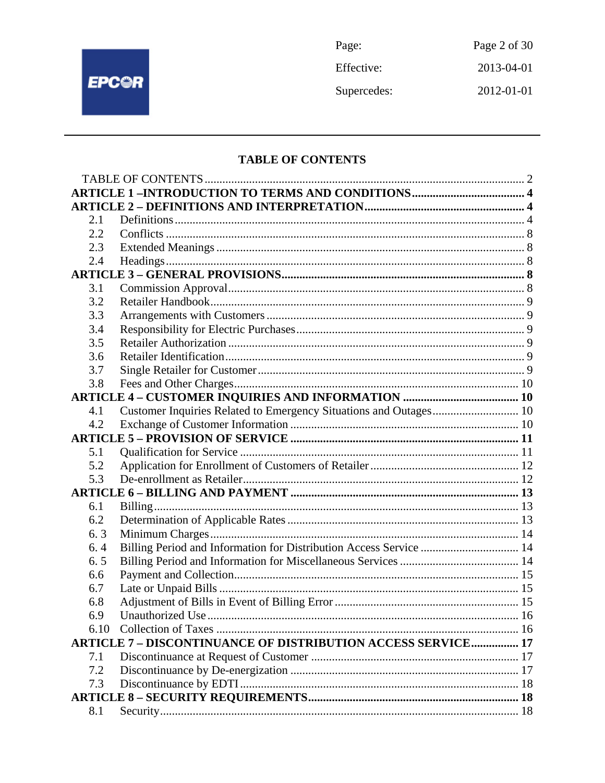

Page: Page 2 of 30 2013-04-01 Effective: Supercedes:  $2012 - 01 - 01$ 

## **TABLE OF CONTENTS**

| 2.1  |                                                                     |  |
|------|---------------------------------------------------------------------|--|
| 2.2  |                                                                     |  |
| 2.3  |                                                                     |  |
| 2.4  |                                                                     |  |
|      |                                                                     |  |
| 3.1  |                                                                     |  |
| 3.2  |                                                                     |  |
| 3.3  |                                                                     |  |
| 3.4  |                                                                     |  |
| 3.5  |                                                                     |  |
| 3.6  |                                                                     |  |
| 3.7  |                                                                     |  |
| 3.8  |                                                                     |  |
|      |                                                                     |  |
| 4.1  | Customer Inquiries Related to Emergency Situations and Outages 10   |  |
| 4.2  |                                                                     |  |
|      |                                                                     |  |
| 5.1  |                                                                     |  |
| 5.2  |                                                                     |  |
| 5.3  |                                                                     |  |
|      |                                                                     |  |
| 6.1  |                                                                     |  |
| 6.2  |                                                                     |  |
| 6.3  |                                                                     |  |
| 6.4  | Billing Period and Information for Distribution Access Service  14  |  |
| 6.5  |                                                                     |  |
| 6.6  |                                                                     |  |
| 6.7  |                                                                     |  |
| 6.8  |                                                                     |  |
| 6.9  |                                                                     |  |
| 6.10 |                                                                     |  |
|      | <b>ARTICLE 7 - DISCONTINUANCE OF DISTRIBUTION ACCESS SERVICE 17</b> |  |
| 7.1  |                                                                     |  |
| 7.2  |                                                                     |  |
| 7.3  |                                                                     |  |
|      |                                                                     |  |
| 8.1  |                                                                     |  |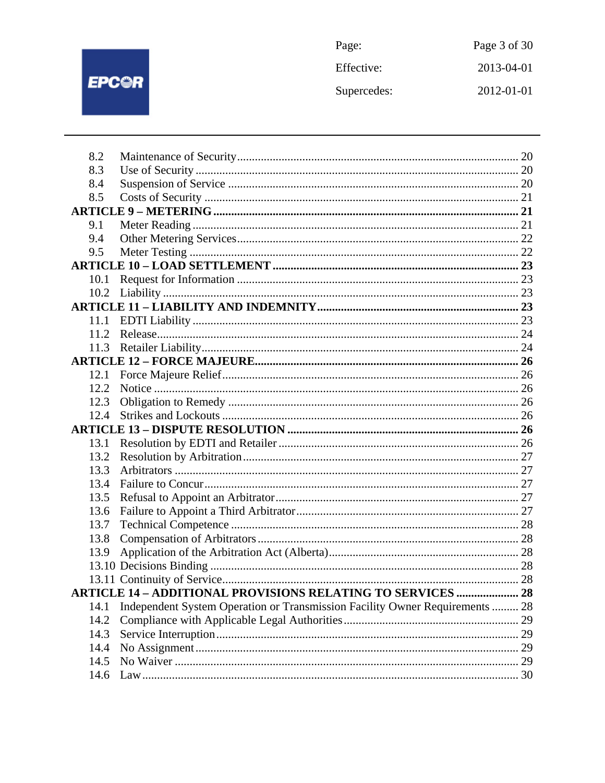

| Page:       | Page 3 of 30 |
|-------------|--------------|
| Effective:  | 2013-04-01   |
| Supercedes: | 2012-01-01   |

| 8.2  |                                                                              |  |
|------|------------------------------------------------------------------------------|--|
| 8.3  |                                                                              |  |
| 8.4  |                                                                              |  |
| 8.5  |                                                                              |  |
|      |                                                                              |  |
| 9.1  |                                                                              |  |
| 9.4  |                                                                              |  |
| 9.5  |                                                                              |  |
|      |                                                                              |  |
| 10.1 |                                                                              |  |
| 10.2 |                                                                              |  |
|      |                                                                              |  |
| 11.1 |                                                                              |  |
| 11.2 |                                                                              |  |
| 11.3 |                                                                              |  |
|      |                                                                              |  |
| 12.1 |                                                                              |  |
| 12.2 |                                                                              |  |
| 12.3 |                                                                              |  |
| 12.4 |                                                                              |  |
|      |                                                                              |  |
| 13.1 |                                                                              |  |
| 13.2 |                                                                              |  |
| 13.3 |                                                                              |  |
| 13.4 |                                                                              |  |
| 13.5 |                                                                              |  |
| 13.6 |                                                                              |  |
| 13.7 |                                                                              |  |
| 13.8 |                                                                              |  |
| 13.9 |                                                                              |  |
|      |                                                                              |  |
|      |                                                                              |  |
|      | <b>ARTICLE 14 - ADDITIONAL PROVISIONS RELATING TO SERVICES  28</b>           |  |
| 14.1 | Independent System Operation or Transmission Facility Owner Requirements  28 |  |
| 14.2 |                                                                              |  |
| 14.3 |                                                                              |  |
| 14.4 |                                                                              |  |
| 14.5 |                                                                              |  |
| 14.6 |                                                                              |  |
|      |                                                                              |  |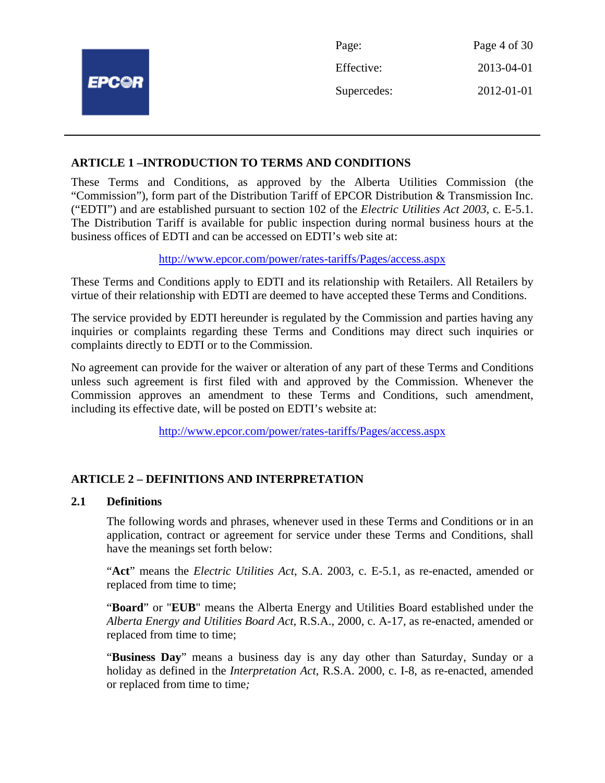|              | Page:       | Page 4 of 30 |
|--------------|-------------|--------------|
|              | Effective:  | 2013-04-01   |
| <b>EPC@R</b> | Supercedes: | 2012-01-01   |
|              |             |              |

## **ARTICLE 1 –INTRODUCTION TO TERMS AND CONDITIONS**

These Terms and Conditions, as approved by the Alberta Utilities Commission (the "Commission"), form part of the Distribution Tariff of EPCOR Distribution & Transmission Inc. ("EDTI") and are established pursuant to section 102 of the *Electric Utilities Act 2003*, c. E-5.1. The Distribution Tariff is available for public inspection during normal business hours at the business offices of EDTI and can be accessed on EDTI's web site at:

http://www.epcor.com/power/rates-tariffs/Pages/access.aspx

These Terms and Conditions apply to EDTI and its relationship with Retailers. All Retailers by virtue of their relationship with EDTI are deemed to have accepted these Terms and Conditions.

The service provided by EDTI hereunder is regulated by the Commission and parties having any inquiries or complaints regarding these Terms and Conditions may direct such inquiries or complaints directly to EDTI or to the Commission.

No agreement can provide for the waiver or alteration of any part of these Terms and Conditions unless such agreement is first filed with and approved by the Commission. Whenever the Commission approves an amendment to these Terms and Conditions, such amendment, including its effective date, will be posted on EDTI's website at:

http://www.epcor.com/power/rates-tariffs/Pages/access.aspx

## **ARTICLE 2 – DEFINITIONS AND INTERPRETATION**

## **2.1 Definitions**

The following words and phrases, whenever used in these Terms and Conditions or in an application, contract or agreement for service under these Terms and Conditions, shall have the meanings set forth below:

"**Act**" means the *Electric Utilities Act*, S.A. 2003, c. E-5.1, as re-enacted, amended or replaced from time to time;

"**Board**" or "**EUB**" means the Alberta Energy and Utilities Board established under the *Alberta Energy and Utilities Board Act*, R.S.A., 2000, c. A-17, as re-enacted, amended or replaced from time to time;

"**Business Day**" means a business day is any day other than Saturday, Sunday or a holiday as defined in the *Interpretation Act*, R.S.A. 2000, c. I-8, as re-enacted, amended or replaced from time to time*;*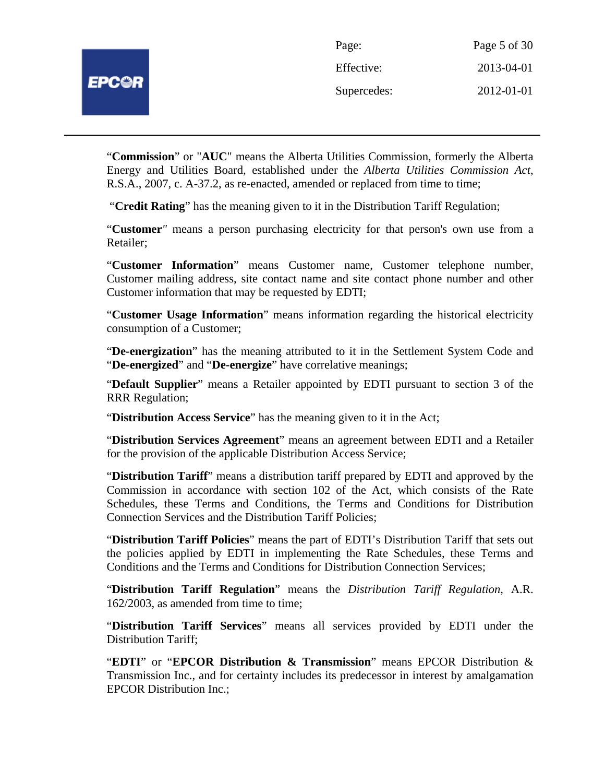"**Commission**" or "**AUC**" means the Alberta Utilities Commission, formerly the Alberta Energy and Utilities Board, established under the *Alberta Utilities Commission Act*, R.S.A., 2007, c. A-37.2, as re-enacted, amended or replaced from time to time;

"**Credit Rating**" has the meaning given to it in the Distribution Tariff Regulation;

"**Customer***"* means a person purchasing electricity for that person's own use from a Retailer;

"**Customer Information**" means Customer name, Customer telephone number, Customer mailing address, site contact name and site contact phone number and other Customer information that may be requested by EDTI;

"**Customer Usage Information**" means information regarding the historical electricity consumption of a Customer;

"**De-energization**" has the meaning attributed to it in the Settlement System Code and "**De-energized**" and "**De-energize**" have correlative meanings;

"**Default Supplier**" means a Retailer appointed by EDTI pursuant to section 3 of the RRR Regulation;

"**Distribution Access Service**" has the meaning given to it in the Act;

"**Distribution Services Agreement**" means an agreement between EDTI and a Retailer for the provision of the applicable Distribution Access Service;

"**Distribution Tariff**" means a distribution tariff prepared by EDTI and approved by the Commission in accordance with section 102 of the Act, which consists of the Rate Schedules, these Terms and Conditions, the Terms and Conditions for Distribution Connection Services and the Distribution Tariff Policies;

"**Distribution Tariff Policies**" means the part of EDTI's Distribution Tariff that sets out the policies applied by EDTI in implementing the Rate Schedules, these Terms and Conditions and the Terms and Conditions for Distribution Connection Services;

"**Distribution Tariff Regulation**" means the *Distribution Tariff Regulation*, A.R. 162/2003, as amended from time to time;

"**Distribution Tariff Services**" means all services provided by EDTI under the Distribution Tariff;

"**EDTI**" or "**EPCOR Distribution & Transmission**" means EPCOR Distribution & Transmission Inc., and for certainty includes its predecessor in interest by amalgamation EPCOR Distribution Inc.;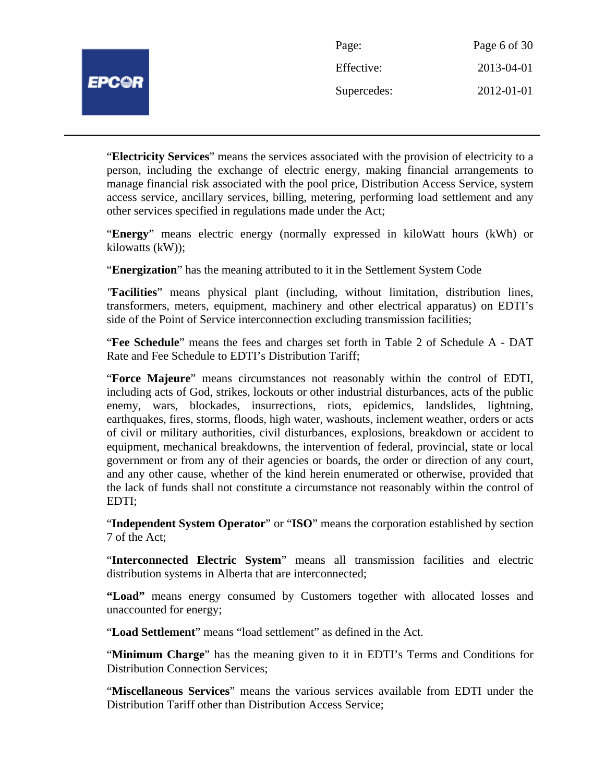| <b>PC@R</b> |  |
|-------------|--|
|             |  |

| Page:       | Page 6 of 30 |
|-------------|--------------|
| Effective:  | 2013-04-01   |
| Supercedes: | 2012-01-01   |

"**Electricity Services**" means the services associated with the provision of electricity to a person, including the exchange of electric energy, making financial arrangements to manage financial risk associated with the pool price, Distribution Access Service, system access service, ancillary services, billing, metering, performing load settlement and any other services specified in regulations made under the Act;

"**Energy**" means electric energy (normally expressed in kiloWatt hours (kWh) or kilowatts (kW));

"**Energization**" has the meaning attributed to it in the Settlement System Code

*"***Facilities**" means physical plant (including, without limitation, distribution lines, transformers, meters, equipment, machinery and other electrical apparatus) on EDTI's side of the Point of Service interconnection excluding transmission facilities;

"**Fee Schedule**" means the fees and charges set forth in Table 2 of Schedule A - DAT Rate and Fee Schedule to EDTI's Distribution Tariff;

"**Force Majeure**" means circumstances not reasonably within the control of EDTI, including acts of God, strikes, lockouts or other industrial disturbances, acts of the public enemy, wars, blockades, insurrections, riots, epidemics, landslides, lightning, earthquakes, fires, storms, floods, high water, washouts, inclement weather, orders or acts of civil or military authorities, civil disturbances, explosions, breakdown or accident to equipment, mechanical breakdowns, the intervention of federal, provincial, state or local government or from any of their agencies or boards, the order or direction of any court, and any other cause, whether of the kind herein enumerated or otherwise, provided that the lack of funds shall not constitute a circumstance not reasonably within the control of EDTI;

"**Independent System Operator**" or "**ISO**" means the corporation established by section 7 of the Act;

"**Interconnected Electric System**" means all transmission facilities and electric distribution systems in Alberta that are interconnected;

**"Load"** means energy consumed by Customers together with allocated losses and unaccounted for energy;

"**Load Settlement**" means "load settlement" as defined in the Act.

"**Minimum Charge**" has the meaning given to it in EDTI's Terms and Conditions for Distribution Connection Services;

"**Miscellaneous Services**" means the various services available from EDTI under the Distribution Tariff other than Distribution Access Service;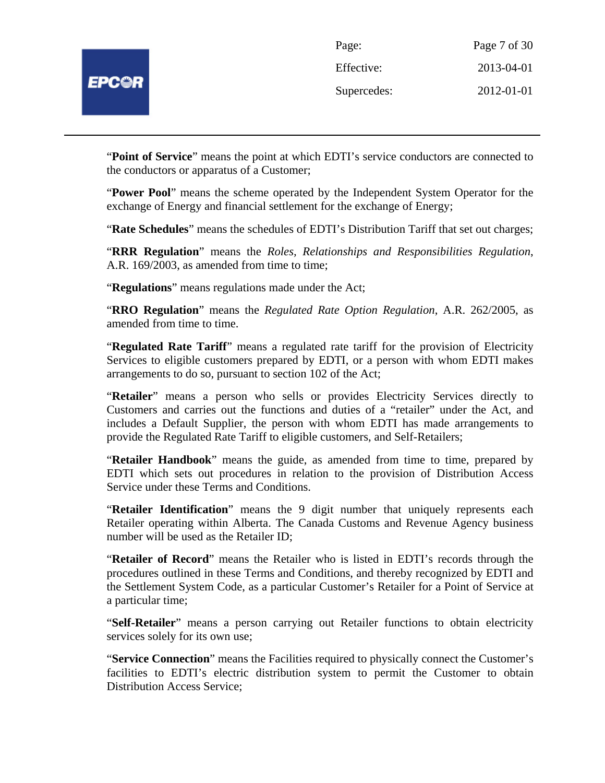

| Page:       | Page 7 of 30 |
|-------------|--------------|
| Effective:  | 2013-04-01   |
| Supercedes: | 2012-01-01   |

"**Point of Service**" means the point at which EDTI's service conductors are connected to the conductors or apparatus of a Customer;

"**Power Pool**" means the scheme operated by the Independent System Operator for the exchange of Energy and financial settlement for the exchange of Energy;

"**Rate Schedules**" means the schedules of EDTI's Distribution Tariff that set out charges;

"**RRR Regulation**" means the *Roles, Relationships and Responsibilities Regulation*, A.R. 169/2003, as amended from time to time;

"**Regulations**" means regulations made under the Act;

"**RRO Regulation**" means the *Regulated Rate Option Regulation*, A.R. 262/2005, as amended from time to time.

"**Regulated Rate Tariff**" means a regulated rate tariff for the provision of Electricity Services to eligible customers prepared by EDTI, or a person with whom EDTI makes arrangements to do so, pursuant to section 102 of the Act;

"**Retailer**" means a person who sells or provides Electricity Services directly to Customers and carries out the functions and duties of a "retailer" under the Act, and includes a Default Supplier, the person with whom EDTI has made arrangements to provide the Regulated Rate Tariff to eligible customers, and Self-Retailers;

"**Retailer Handbook**" means the guide, as amended from time to time, prepared by EDTI which sets out procedures in relation to the provision of Distribution Access Service under these Terms and Conditions.

"**Retailer Identification**" means the 9 digit number that uniquely represents each Retailer operating within Alberta. The Canada Customs and Revenue Agency business number will be used as the Retailer ID;

"**Retailer of Record**" means the Retailer who is listed in EDTI's records through the procedures outlined in these Terms and Conditions, and thereby recognized by EDTI and the Settlement System Code, as a particular Customer's Retailer for a Point of Service at a particular time;

"**Self-Retailer**" means a person carrying out Retailer functions to obtain electricity services solely for its own use;

"**Service Connection**" means the Facilities required to physically connect the Customer's facilities to EDTI's electric distribution system to permit the Customer to obtain Distribution Access Service;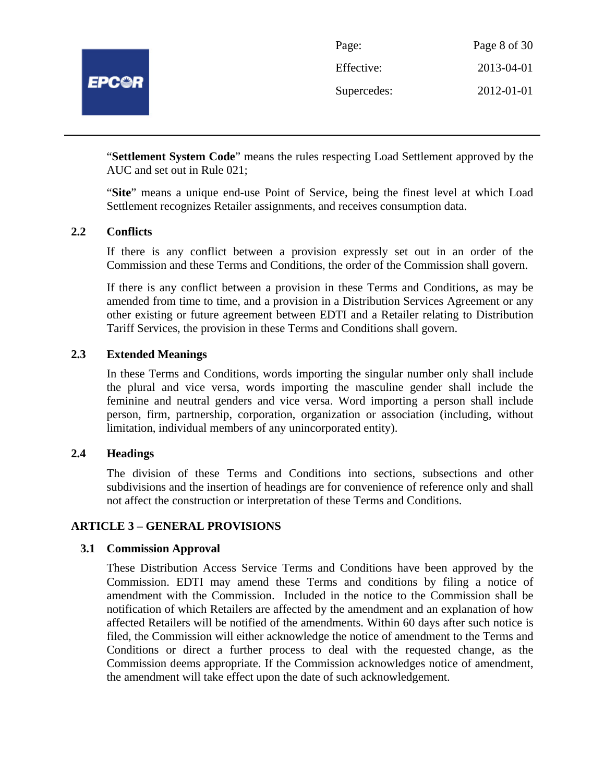

| Page:       | Page 8 of 30 |
|-------------|--------------|
| Effective:  | 2013-04-01   |
| Supercedes: | 2012-01-01   |

"**Settlement System Code**" means the rules respecting Load Settlement approved by the AUC and set out in Rule 021;

"**Site**" means a unique end-use Point of Service, being the finest level at which Load Settlement recognizes Retailer assignments, and receives consumption data.

## **2.2 Conflicts**

If there is any conflict between a provision expressly set out in an order of the Commission and these Terms and Conditions, the order of the Commission shall govern.

If there is any conflict between a provision in these Terms and Conditions, as may be amended from time to time, and a provision in a Distribution Services Agreement or any other existing or future agreement between EDTI and a Retailer relating to Distribution Tariff Services, the provision in these Terms and Conditions shall govern.

#### **2.3 Extended Meanings**

In these Terms and Conditions, words importing the singular number only shall include the plural and vice versa, words importing the masculine gender shall include the feminine and neutral genders and vice versa. Word importing a person shall include person, firm, partnership, corporation, organization or association (including, without limitation, individual members of any unincorporated entity).

## **2.4 Headings**

The division of these Terms and Conditions into sections, subsections and other subdivisions and the insertion of headings are for convenience of reference only and shall not affect the construction or interpretation of these Terms and Conditions.

#### **ARTICLE 3 – GENERAL PROVISIONS**

#### **3.1 Commission Approval**

These Distribution Access Service Terms and Conditions have been approved by the Commission. EDTI may amend these Terms and conditions by filing a notice of amendment with the Commission. Included in the notice to the Commission shall be notification of which Retailers are affected by the amendment and an explanation of how affected Retailers will be notified of the amendments. Within 60 days after such notice is filed, the Commission will either acknowledge the notice of amendment to the Terms and Conditions or direct a further process to deal with the requested change, as the Commission deems appropriate. If the Commission acknowledges notice of amendment, the amendment will take effect upon the date of such acknowledgement.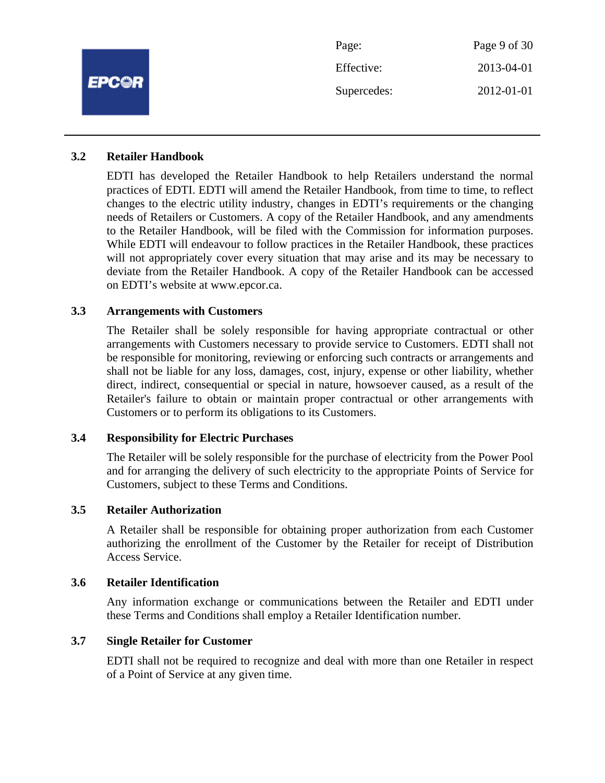|              | Page:       | Page 9 of 30 |
|--------------|-------------|--------------|
| <b>EPCOR</b> | Effective:  | 2013-04-01   |
|              | Supercedes: | 2012-01-01   |
|              |             |              |

## **3.2 Retailer Handbook**

EDTI has developed the Retailer Handbook to help Retailers understand the normal practices of EDTI. EDTI will amend the Retailer Handbook, from time to time, to reflect changes to the electric utility industry, changes in EDTI's requirements or the changing needs of Retailers or Customers. A copy of the Retailer Handbook, and any amendments to the Retailer Handbook, will be filed with the Commission for information purposes. While EDTI will endeavour to follow practices in the Retailer Handbook, these practices will not appropriately cover every situation that may arise and its may be necessary to deviate from the Retailer Handbook. A copy of the Retailer Handbook can be accessed on EDTI's website at www.epcor.ca.

## **3.3 Arrangements with Customers**

The Retailer shall be solely responsible for having appropriate contractual or other arrangements with Customers necessary to provide service to Customers. EDTI shall not be responsible for monitoring, reviewing or enforcing such contracts or arrangements and shall not be liable for any loss, damages, cost, injury, expense or other liability, whether direct, indirect, consequential or special in nature, howsoever caused, as a result of the Retailer's failure to obtain or maintain proper contractual or other arrangements with Customers or to perform its obligations to its Customers.

## **3.4 Responsibility for Electric Purchases**

The Retailer will be solely responsible for the purchase of electricity from the Power Pool and for arranging the delivery of such electricity to the appropriate Points of Service for Customers, subject to these Terms and Conditions.

#### **3.5 Retailer Authorization**

A Retailer shall be responsible for obtaining proper authorization from each Customer authorizing the enrollment of the Customer by the Retailer for receipt of Distribution Access Service.

### **3.6 Retailer Identification**

Any information exchange or communications between the Retailer and EDTI under these Terms and Conditions shall employ a Retailer Identification number.

## **3.7 Single Retailer for Customer**

EDTI shall not be required to recognize and deal with more than one Retailer in respect of a Point of Service at any given time.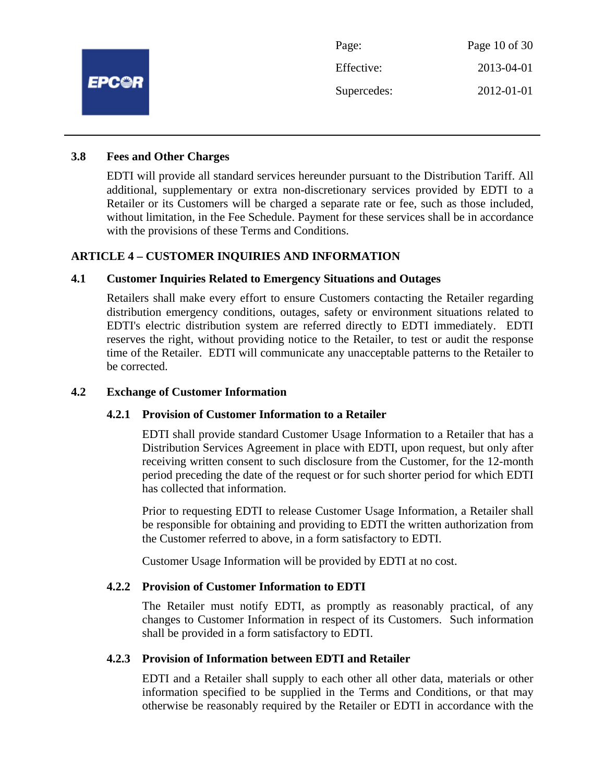

## **3.8 Fees and Other Charges**

EDTI will provide all standard services hereunder pursuant to the Distribution Tariff. All additional, supplementary or extra non-discretionary services provided by EDTI to a Retailer or its Customers will be charged a separate rate or fee, such as those included, without limitation, in the Fee Schedule. Payment for these services shall be in accordance with the provisions of these Terms and Conditions.

## **ARTICLE 4 – CUSTOMER INQUIRIES AND INFORMATION**

## **4.1 Customer Inquiries Related to Emergency Situations and Outages**

Retailers shall make every effort to ensure Customers contacting the Retailer regarding distribution emergency conditions, outages, safety or environment situations related to EDTI's electric distribution system are referred directly to EDTI immediately. EDTI reserves the right, without providing notice to the Retailer, to test or audit the response time of the Retailer. EDTI will communicate any unacceptable patterns to the Retailer to be corrected.

#### **4.2 Exchange of Customer Information**

#### **4.2.1 Provision of Customer Information to a Retailer**

EDTI shall provide standard Customer Usage Information to a Retailer that has a Distribution Services Agreement in place with EDTI, upon request, but only after receiving written consent to such disclosure from the Customer, for the 12-month period preceding the date of the request or for such shorter period for which EDTI has collected that information.

Prior to requesting EDTI to release Customer Usage Information, a Retailer shall be responsible for obtaining and providing to EDTI the written authorization from the Customer referred to above, in a form satisfactory to EDTI.

Customer Usage Information will be provided by EDTI at no cost.

#### **4.2.2 Provision of Customer Information to EDTI**

The Retailer must notify EDTI, as promptly as reasonably practical, of any changes to Customer Information in respect of its Customers. Such information shall be provided in a form satisfactory to EDTI.

## **4.2.3 Provision of Information between EDTI and Retailer**

EDTI and a Retailer shall supply to each other all other data, materials or other information specified to be supplied in the Terms and Conditions, or that may otherwise be reasonably required by the Retailer or EDTI in accordance with the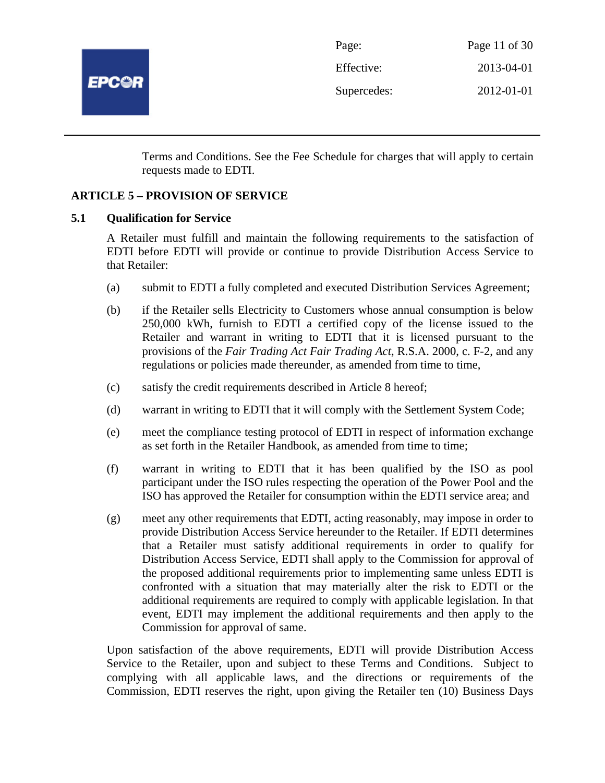

| Page:       | Page 11 of $30$ |
|-------------|-----------------|
| Effective:  | 2013-04-01      |
| Supercedes: | 2012-01-01      |

Terms and Conditions. See the Fee Schedule for charges that will apply to certain requests made to EDTI.

## **ARTICLE 5 – PROVISION OF SERVICE**

## **5.1 Qualification for Service**

A Retailer must fulfill and maintain the following requirements to the satisfaction of EDTI before EDTI will provide or continue to provide Distribution Access Service to that Retailer:

- (a) submit to EDTI a fully completed and executed Distribution Services Agreement;
- (b) if the Retailer sells Electricity to Customers whose annual consumption is below 250,000 kWh, furnish to EDTI a certified copy of the license issued to the Retailer and warrant in writing to EDTI that it is licensed pursuant to the provisions of the *Fair Trading Act Fair Trading Act*, R.S.A. 2000, c. F-2, and any regulations or policies made thereunder, as amended from time to time,
- (c) satisfy the credit requirements described in Article 8 hereof;
- (d) warrant in writing to EDTI that it will comply with the Settlement System Code;
- (e) meet the compliance testing protocol of EDTI in respect of information exchange as set forth in the Retailer Handbook, as amended from time to time;
- (f) warrant in writing to EDTI that it has been qualified by the ISO as pool participant under the ISO rules respecting the operation of the Power Pool and the ISO has approved the Retailer for consumption within the EDTI service area; and
- (g) meet any other requirements that EDTI, acting reasonably, may impose in order to provide Distribution Access Service hereunder to the Retailer. If EDTI determines that a Retailer must satisfy additional requirements in order to qualify for Distribution Access Service, EDTI shall apply to the Commission for approval of the proposed additional requirements prior to implementing same unless EDTI is confronted with a situation that may materially alter the risk to EDTI or the additional requirements are required to comply with applicable legislation. In that event, EDTI may implement the additional requirements and then apply to the Commission for approval of same.

Upon satisfaction of the above requirements, EDTI will provide Distribution Access Service to the Retailer, upon and subject to these Terms and Conditions. Subject to complying with all applicable laws, and the directions or requirements of the Commission, EDTI reserves the right, upon giving the Retailer ten (10) Business Days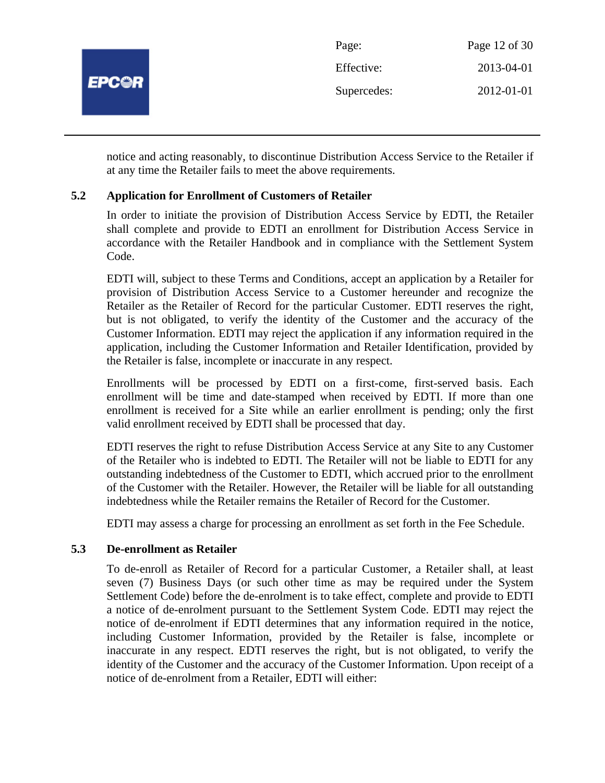

notice and acting reasonably, to discontinue Distribution Access Service to the Retailer if at any time the Retailer fails to meet the above requirements.

## **5.2 Application for Enrollment of Customers of Retailer**

In order to initiate the provision of Distribution Access Service by EDTI, the Retailer shall complete and provide to EDTI an enrollment for Distribution Access Service in accordance with the Retailer Handbook and in compliance with the Settlement System Code.

EDTI will, subject to these Terms and Conditions, accept an application by a Retailer for provision of Distribution Access Service to a Customer hereunder and recognize the Retailer as the Retailer of Record for the particular Customer. EDTI reserves the right, but is not obligated, to verify the identity of the Customer and the accuracy of the Customer Information. EDTI may reject the application if any information required in the application, including the Customer Information and Retailer Identification, provided by the Retailer is false, incomplete or inaccurate in any respect.

Enrollments will be processed by EDTI on a first-come, first-served basis. Each enrollment will be time and date-stamped when received by EDTI. If more than one enrollment is received for a Site while an earlier enrollment is pending; only the first valid enrollment received by EDTI shall be processed that day.

EDTI reserves the right to refuse Distribution Access Service at any Site to any Customer of the Retailer who is indebted to EDTI. The Retailer will not be liable to EDTI for any outstanding indebtedness of the Customer to EDTI, which accrued prior to the enrollment of the Customer with the Retailer. However, the Retailer will be liable for all outstanding indebtedness while the Retailer remains the Retailer of Record for the Customer.

EDTI may assess a charge for processing an enrollment as set forth in the Fee Schedule.

## **5.3 De-enrollment as Retailer**

To de-enroll as Retailer of Record for a particular Customer, a Retailer shall, at least seven (7) Business Days (or such other time as may be required under the System Settlement Code) before the de-enrolment is to take effect, complete and provide to EDTI a notice of de-enrolment pursuant to the Settlement System Code. EDTI may reject the notice of de-enrolment if EDTI determines that any information required in the notice, including Customer Information, provided by the Retailer is false, incomplete or inaccurate in any respect. EDTI reserves the right, but is not obligated, to verify the identity of the Customer and the accuracy of the Customer Information. Upon receipt of a notice of de-enrolment from a Retailer, EDTI will either: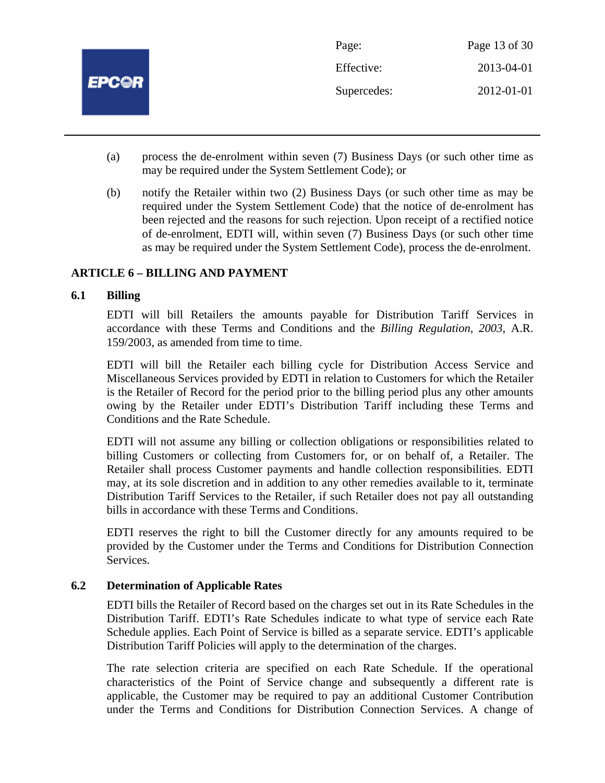

- (a) process the de-enrolment within seven (7) Business Days (or such other time as may be required under the System Settlement Code); or
- (b) notify the Retailer within two (2) Business Days (or such other time as may be required under the System Settlement Code) that the notice of de-enrolment has been rejected and the reasons for such rejection. Upon receipt of a rectified notice of de-enrolment, EDTI will, within seven (7) Business Days (or such other time as may be required under the System Settlement Code), process the de-enrolment.

## **ARTICLE 6 – BILLING AND PAYMENT**

## **6.1 Billing**

EDTI will bill Retailers the amounts payable for Distribution Tariff Services in accordance with these Terms and Conditions and the *Billing Regulation, 2003*, A.R. 159/2003, as amended from time to time.

EDTI will bill the Retailer each billing cycle for Distribution Access Service and Miscellaneous Services provided by EDTI in relation to Customers for which the Retailer is the Retailer of Record for the period prior to the billing period plus any other amounts owing by the Retailer under EDTI's Distribution Tariff including these Terms and Conditions and the Rate Schedule.

EDTI will not assume any billing or collection obligations or responsibilities related to billing Customers or collecting from Customers for, or on behalf of, a Retailer. The Retailer shall process Customer payments and handle collection responsibilities. EDTI may, at its sole discretion and in addition to any other remedies available to it, terminate Distribution Tariff Services to the Retailer, if such Retailer does not pay all outstanding bills in accordance with these Terms and Conditions.

EDTI reserves the right to bill the Customer directly for any amounts required to be provided by the Customer under the Terms and Conditions for Distribution Connection Services.

## **6.2 Determination of Applicable Rates**

EDTI bills the Retailer of Record based on the charges set out in its Rate Schedules in the Distribution Tariff. EDTI's Rate Schedules indicate to what type of service each Rate Schedule applies. Each Point of Service is billed as a separate service. EDTI's applicable Distribution Tariff Policies will apply to the determination of the charges.

The rate selection criteria are specified on each Rate Schedule. If the operational characteristics of the Point of Service change and subsequently a different rate is applicable, the Customer may be required to pay an additional Customer Contribution under the Terms and Conditions for Distribution Connection Services. A change of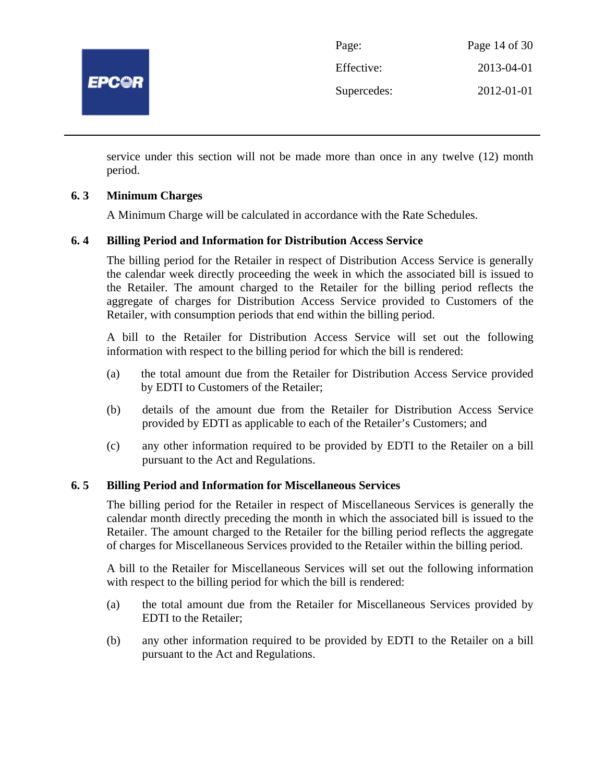

| Page:       | Page 14 of 30 |
|-------------|---------------|
| Effective:  | 2013-04-01    |
| Supercedes: | 2012-01-01    |

service under this section will not be made more than once in any twelve (12) month period.

## **6. 3 Minimum Charges**

A Minimum Charge will be calculated in accordance with the Rate Schedules.

## **6. 4 Billing Period and Information for Distribution Access Service**

The billing period for the Retailer in respect of Distribution Access Service is generally the calendar week directly proceeding the week in which the associated bill is issued to the Retailer. The amount charged to the Retailer for the billing period reflects the aggregate of charges for Distribution Access Service provided to Customers of the Retailer, with consumption periods that end within the billing period.

A bill to the Retailer for Distribution Access Service will set out the following information with respect to the billing period for which the bill is rendered:

- (a) the total amount due from the Retailer for Distribution Access Service provided by EDTI to Customers of the Retailer;
- (b) details of the amount due from the Retailer for Distribution Access Service provided by EDTI as applicable to each of the Retailer's Customers; and
- (c) any other information required to be provided by EDTI to the Retailer on a bill pursuant to the Act and Regulations.

## **6. 5 Billing Period and Information for Miscellaneous Services**

The billing period for the Retailer in respect of Miscellaneous Services is generally the calendar month directly preceding the month in which the associated bill is issued to the Retailer. The amount charged to the Retailer for the billing period reflects the aggregate of charges for Miscellaneous Services provided to the Retailer within the billing period.

A bill to the Retailer for Miscellaneous Services will set out the following information with respect to the billing period for which the bill is rendered:

- (a) the total amount due from the Retailer for Miscellaneous Services provided by EDTI to the Retailer;
- (b) any other information required to be provided by EDTI to the Retailer on a bill pursuant to the Act and Regulations.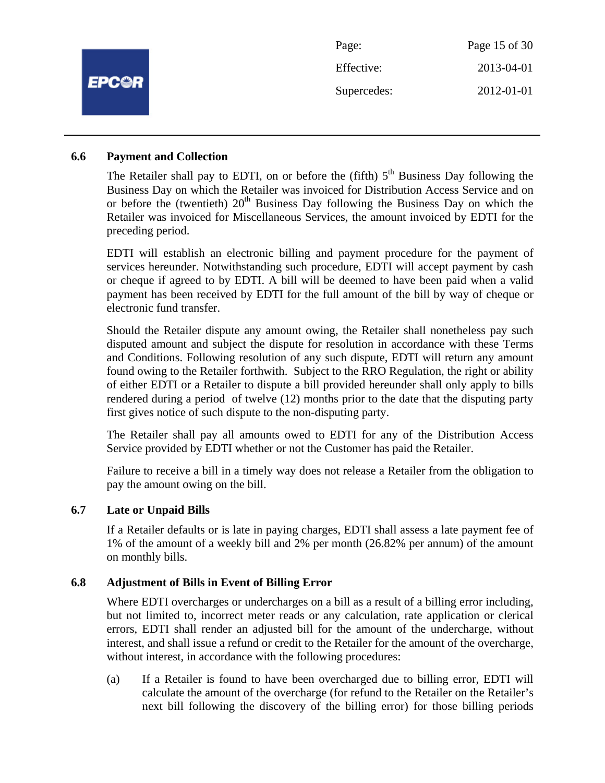|              | Page:       | Page 15 of 30 |
|--------------|-------------|---------------|
|              | Effective:  | 2013-04-01    |
| <b>EPC@R</b> | Supercedes: | 2012-01-01    |
|              |             |               |

#### **6.6 Payment and Collection**

The Retailer shall pay to EDTI, on or before the (fifth)  $5<sup>th</sup>$  Business Day following the Business Day on which the Retailer was invoiced for Distribution Access Service and on or before the (twentieth)  $20<sup>th</sup>$  Business Day following the Business Day on which the Retailer was invoiced for Miscellaneous Services, the amount invoiced by EDTI for the preceding period.

EDTI will establish an electronic billing and payment procedure for the payment of services hereunder. Notwithstanding such procedure, EDTI will accept payment by cash or cheque if agreed to by EDTI. A bill will be deemed to have been paid when a valid payment has been received by EDTI for the full amount of the bill by way of cheque or electronic fund transfer.

Should the Retailer dispute any amount owing, the Retailer shall nonetheless pay such disputed amount and subject the dispute for resolution in accordance with these Terms and Conditions. Following resolution of any such dispute, EDTI will return any amount found owing to the Retailer forthwith. Subject to the RRO Regulation, the right or ability of either EDTI or a Retailer to dispute a bill provided hereunder shall only apply to bills rendered during a period of twelve (12) months prior to the date that the disputing party first gives notice of such dispute to the non-disputing party.

The Retailer shall pay all amounts owed to EDTI for any of the Distribution Access Service provided by EDTI whether or not the Customer has paid the Retailer.

Failure to receive a bill in a timely way does not release a Retailer from the obligation to pay the amount owing on the bill.

## **6.7 Late or Unpaid Bills**

If a Retailer defaults or is late in paying charges, EDTI shall assess a late payment fee of 1% of the amount of a weekly bill and 2% per month (26.82% per annum) of the amount on monthly bills.

## **6.8 Adjustment of Bills in Event of Billing Error**

Where EDTI overcharges or undercharges on a bill as a result of a billing error including, but not limited to, incorrect meter reads or any calculation, rate application or clerical errors, EDTI shall render an adjusted bill for the amount of the undercharge, without interest, and shall issue a refund or credit to the Retailer for the amount of the overcharge, without interest, in accordance with the following procedures:

(a) If a Retailer is found to have been overcharged due to billing error, EDTI will calculate the amount of the overcharge (for refund to the Retailer on the Retailer's next bill following the discovery of the billing error) for those billing periods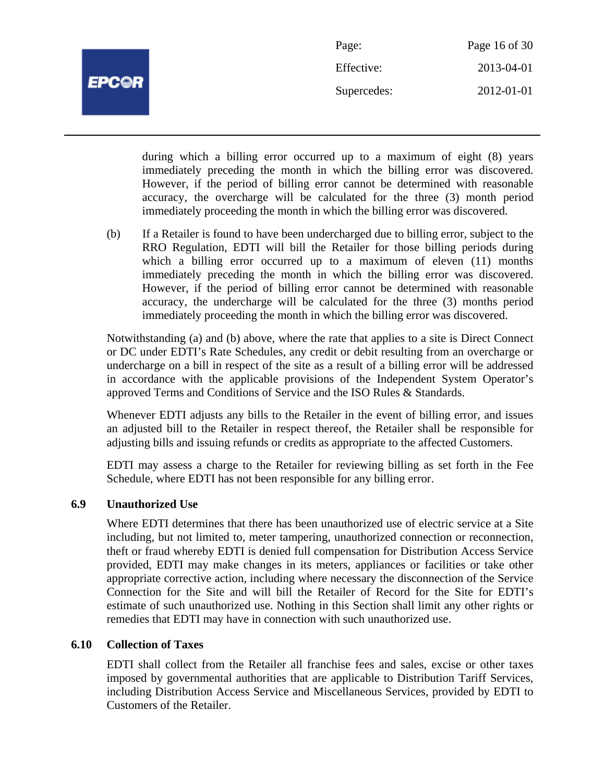

| Page:       | Page 16 of 30 |
|-------------|---------------|
| Effective:  | 2013-04-01    |
| Supercedes: | 2012-01-01    |

during which a billing error occurred up to a maximum of eight (8) years immediately preceding the month in which the billing error was discovered. However, if the period of billing error cannot be determined with reasonable accuracy, the overcharge will be calculated for the three (3) month period immediately proceeding the month in which the billing error was discovered.

(b) If a Retailer is found to have been undercharged due to billing error, subject to the RRO Regulation, EDTI will bill the Retailer for those billing periods during which a billing error occurred up to a maximum of eleven (11) months immediately preceding the month in which the billing error was discovered. However, if the period of billing error cannot be determined with reasonable accuracy, the undercharge will be calculated for the three (3) months period immediately proceeding the month in which the billing error was discovered.

Notwithstanding (a) and (b) above, where the rate that applies to a site is Direct Connect or DC under EDTI's Rate Schedules, any credit or debit resulting from an overcharge or undercharge on a bill in respect of the site as a result of a billing error will be addressed in accordance with the applicable provisions of the Independent System Operator's approved Terms and Conditions of Service and the ISO Rules & Standards.

Whenever EDTI adjusts any bills to the Retailer in the event of billing error, and issues an adjusted bill to the Retailer in respect thereof, the Retailer shall be responsible for adjusting bills and issuing refunds or credits as appropriate to the affected Customers.

EDTI may assess a charge to the Retailer for reviewing billing as set forth in the Fee Schedule, where EDTI has not been responsible for any billing error.

## **6.9 Unauthorized Use**

Where EDTI determines that there has been unauthorized use of electric service at a Site including, but not limited to, meter tampering, unauthorized connection or reconnection, theft or fraud whereby EDTI is denied full compensation for Distribution Access Service provided, EDTI may make changes in its meters, appliances or facilities or take other appropriate corrective action, including where necessary the disconnection of the Service Connection for the Site and will bill the Retailer of Record for the Site for EDTI's estimate of such unauthorized use. Nothing in this Section shall limit any other rights or remedies that EDTI may have in connection with such unauthorized use.

## **6.10 Collection of Taxes**

EDTI shall collect from the Retailer all franchise fees and sales, excise or other taxes imposed by governmental authorities that are applicable to Distribution Tariff Services, including Distribution Access Service and Miscellaneous Services, provided by EDTI to Customers of the Retailer.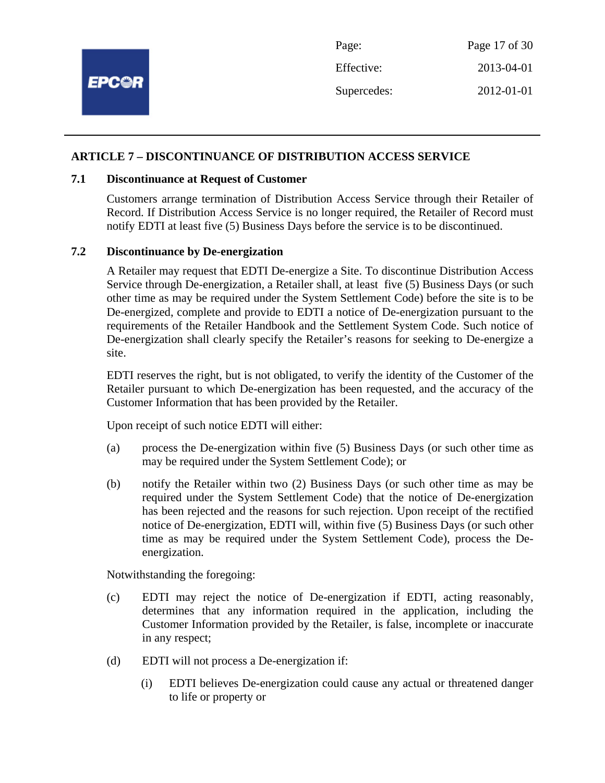|              | Page:       | Page 17 of 30 |
|--------------|-------------|---------------|
| <b>EPC@R</b> | Effective:  | 2013-04-01    |
|              | Supercedes: | 2012-01-01    |
|              |             |               |

## **ARTICLE 7 – DISCONTINUANCE OF DISTRIBUTION ACCESS SERVICE**

## **7.1 Discontinuance at Request of Customer**

Customers arrange termination of Distribution Access Service through their Retailer of Record. If Distribution Access Service is no longer required, the Retailer of Record must notify EDTI at least five (5) Business Days before the service is to be discontinued.

#### **7.2 Discontinuance by De-energization**

A Retailer may request that EDTI De-energize a Site. To discontinue Distribution Access Service through De-energization, a Retailer shall, at least five (5) Business Days (or such other time as may be required under the System Settlement Code) before the site is to be De-energized, complete and provide to EDTI a notice of De-energization pursuant to the requirements of the Retailer Handbook and the Settlement System Code. Such notice of De-energization shall clearly specify the Retailer's reasons for seeking to De-energize a site.

EDTI reserves the right, but is not obligated, to verify the identity of the Customer of the Retailer pursuant to which De-energization has been requested, and the accuracy of the Customer Information that has been provided by the Retailer.

Upon receipt of such notice EDTI will either:

- (a) process the De-energization within five (5) Business Days (or such other time as may be required under the System Settlement Code); or
- (b) notify the Retailer within two (2) Business Days (or such other time as may be required under the System Settlement Code) that the notice of De-energization has been rejected and the reasons for such rejection. Upon receipt of the rectified notice of De-energization, EDTI will, within five (5) Business Days (or such other time as may be required under the System Settlement Code), process the Deenergization.

Notwithstanding the foregoing:

- (c) EDTI may reject the notice of De-energization if EDTI, acting reasonably, determines that any information required in the application, including the Customer Information provided by the Retailer, is false, incomplete or inaccurate in any respect;
- (d) EDTI will not process a De-energization if:
	- (i) EDTI believes De-energization could cause any actual or threatened danger to life or property or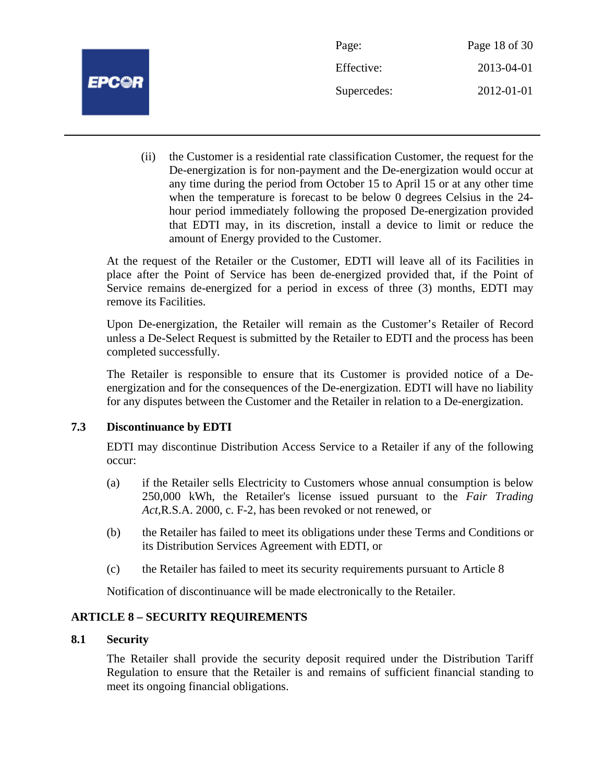

| Page:       | Page 18 of 30 |
|-------------|---------------|
| Effective:  | 2013-04-01    |
| Supercedes: | 2012-01-01    |

(ii) the Customer is a residential rate classification Customer, the request for the De-energization is for non-payment and the De-energization would occur at any time during the period from October 15 to April 15 or at any other time when the temperature is forecast to be below 0 degrees Celsius in the 24 hour period immediately following the proposed De-energization provided that EDTI may, in its discretion, install a device to limit or reduce the amount of Energy provided to the Customer.

At the request of the Retailer or the Customer, EDTI will leave all of its Facilities in place after the Point of Service has been de-energized provided that, if the Point of Service remains de-energized for a period in excess of three (3) months, EDTI may remove its Facilities.

Upon De-energization, the Retailer will remain as the Customer's Retailer of Record unless a De-Select Request is submitted by the Retailer to EDTI and the process has been completed successfully.

The Retailer is responsible to ensure that its Customer is provided notice of a Deenergization and for the consequences of the De-energization. EDTI will have no liability for any disputes between the Customer and the Retailer in relation to a De-energization.

## **7.3 Discontinuance by EDTI**

EDTI may discontinue Distribution Access Service to a Retailer if any of the following occur:

- (a) if the Retailer sells Electricity to Customers whose annual consumption is below 250,000 kWh, the Retailer's license issued pursuant to the *Fair Trading Act,*R.S.A. 2000, c. F-2, has been revoked or not renewed, or
- (b) the Retailer has failed to meet its obligations under these Terms and Conditions or its Distribution Services Agreement with EDTI, or
- (c) the Retailer has failed to meet its security requirements pursuant to Article 8

Notification of discontinuance will be made electronically to the Retailer.

## **ARTICLE 8 – SECURITY REQUIREMENTS**

## **8.1 Security**

The Retailer shall provide the security deposit required under the Distribution Tariff Regulation to ensure that the Retailer is and remains of sufficient financial standing to meet its ongoing financial obligations.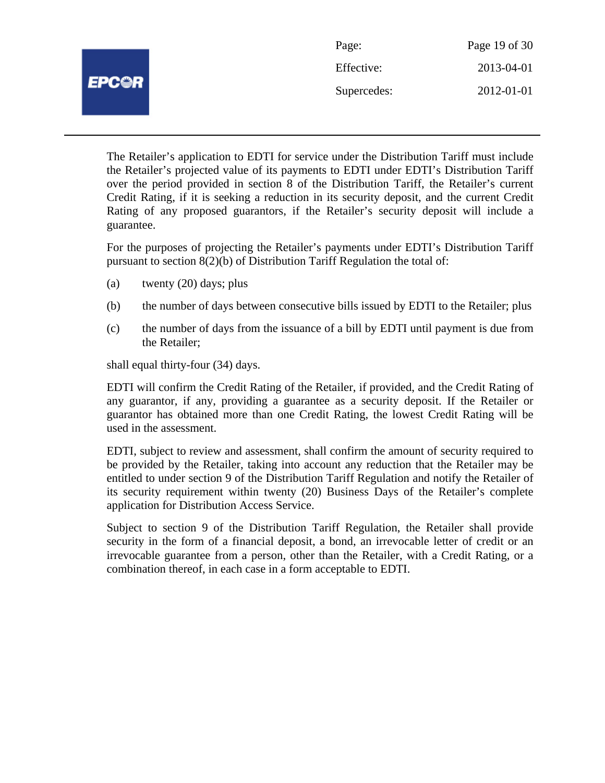|                     | Page:       | Page 19 of 30 |
|---------------------|-------------|---------------|
| <i><b>EPC@R</b></i> | Effective:  | 2013-04-01    |
|                     | Supercedes: | 2012-01-01    |
|                     |             |               |

The Retailer's application to EDTI for service under the Distribution Tariff must include the Retailer's projected value of its payments to EDTI under EDTI's Distribution Tariff over the period provided in section 8 of the Distribution Tariff, the Retailer's current Credit Rating, if it is seeking a reduction in its security deposit, and the current Credit Rating of any proposed guarantors, if the Retailer's security deposit will include a guarantee.

For the purposes of projecting the Retailer's payments under EDTI's Distribution Tariff pursuant to section 8(2)(b) of Distribution Tariff Regulation the total of:

- (a) twenty (20) days; plus
- (b) the number of days between consecutive bills issued by EDTI to the Retailer; plus
- (c) the number of days from the issuance of a bill by EDTI until payment is due from the Retailer;

shall equal thirty-four (34) days.

EDTI will confirm the Credit Rating of the Retailer, if provided, and the Credit Rating of any guarantor, if any, providing a guarantee as a security deposit. If the Retailer or guarantor has obtained more than one Credit Rating, the lowest Credit Rating will be used in the assessment.

EDTI, subject to review and assessment, shall confirm the amount of security required to be provided by the Retailer, taking into account any reduction that the Retailer may be entitled to under section 9 of the Distribution Tariff Regulation and notify the Retailer of its security requirement within twenty (20) Business Days of the Retailer's complete application for Distribution Access Service.

Subject to section 9 of the Distribution Tariff Regulation, the Retailer shall provide security in the form of a financial deposit, a bond, an irrevocable letter of credit or an irrevocable guarantee from a person, other than the Retailer, with a Credit Rating, or a combination thereof, in each case in a form acceptable to EDTI.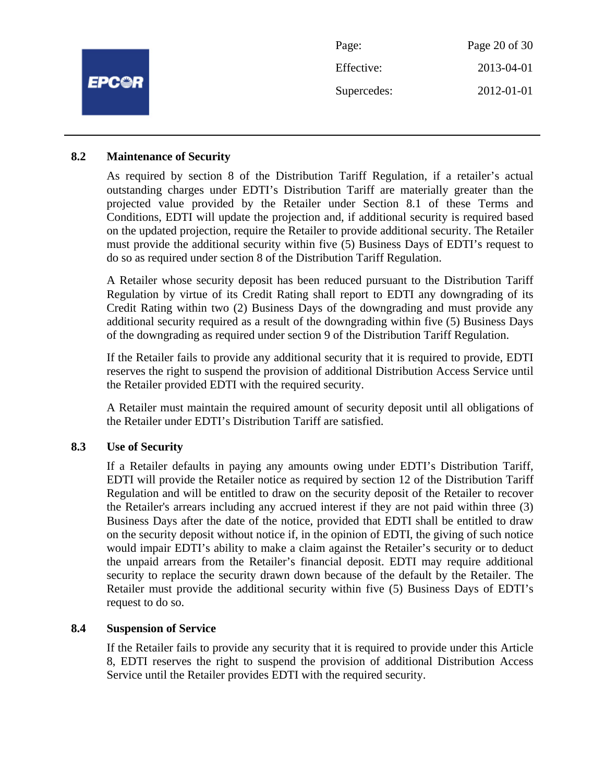|              | Page:       | Page 20 of 30 |
|--------------|-------------|---------------|
| <b>EPC@R</b> | Effective:  | 2013-04-01    |
|              | Supercedes: | 2012-01-01    |
|              |             |               |

## **8.2 Maintenance of Security**

As required by section 8 of the Distribution Tariff Regulation, if a retailer's actual outstanding charges under EDTI's Distribution Tariff are materially greater than the projected value provided by the Retailer under Section 8.1 of these Terms and Conditions, EDTI will update the projection and, if additional security is required based on the updated projection, require the Retailer to provide additional security. The Retailer must provide the additional security within five (5) Business Days of EDTI's request to do so as required under section 8 of the Distribution Tariff Regulation.

A Retailer whose security deposit has been reduced pursuant to the Distribution Tariff Regulation by virtue of its Credit Rating shall report to EDTI any downgrading of its Credit Rating within two (2) Business Days of the downgrading and must provide any additional security required as a result of the downgrading within five (5) Business Days of the downgrading as required under section 9 of the Distribution Tariff Regulation.

If the Retailer fails to provide any additional security that it is required to provide, EDTI reserves the right to suspend the provision of additional Distribution Access Service until the Retailer provided EDTI with the required security.

A Retailer must maintain the required amount of security deposit until all obligations of the Retailer under EDTI's Distribution Tariff are satisfied.

## **8.3 Use of Security**

If a Retailer defaults in paying any amounts owing under EDTI's Distribution Tariff, EDTI will provide the Retailer notice as required by section 12 of the Distribution Tariff Regulation and will be entitled to draw on the security deposit of the Retailer to recover the Retailer's arrears including any accrued interest if they are not paid within three (3) Business Days after the date of the notice, provided that EDTI shall be entitled to draw on the security deposit without notice if, in the opinion of EDTI, the giving of such notice would impair EDTI's ability to make a claim against the Retailer's security or to deduct the unpaid arrears from the Retailer's financial deposit. EDTI may require additional security to replace the security drawn down because of the default by the Retailer. The Retailer must provide the additional security within five (5) Business Days of EDTI's request to do so.

## **8.4 Suspension of Service**

If the Retailer fails to provide any security that it is required to provide under this Article 8, EDTI reserves the right to suspend the provision of additional Distribution Access Service until the Retailer provides EDTI with the required security.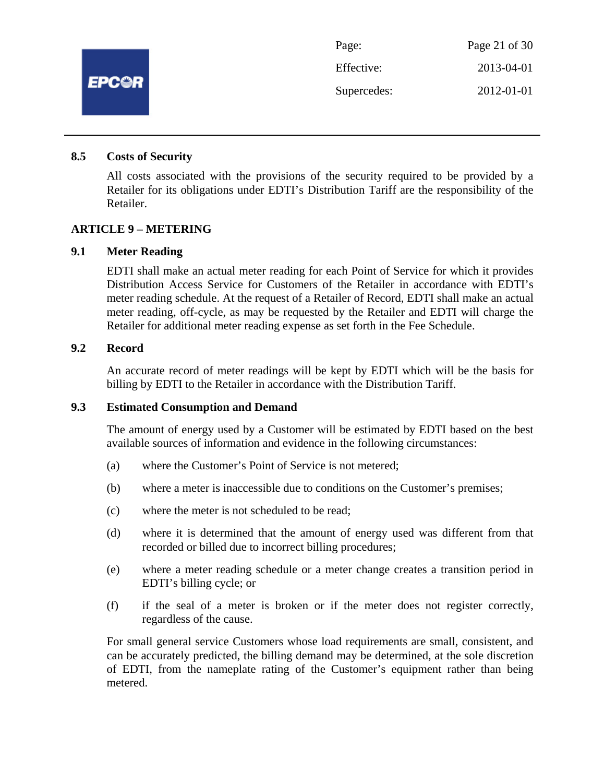

## **8.5 Costs of Security**

All costs associated with the provisions of the security required to be provided by a Retailer for its obligations under EDTI's Distribution Tariff are the responsibility of the Retailer.

## **ARTICLE 9 – METERING**

#### **9.1 Meter Reading**

EDTI shall make an actual meter reading for each Point of Service for which it provides Distribution Access Service for Customers of the Retailer in accordance with EDTI's meter reading schedule. At the request of a Retailer of Record, EDTI shall make an actual meter reading, off-cycle, as may be requested by the Retailer and EDTI will charge the Retailer for additional meter reading expense as set forth in the Fee Schedule.

## **9.2 Record**

An accurate record of meter readings will be kept by EDTI which will be the basis for billing by EDTI to the Retailer in accordance with the Distribution Tariff.

## **9.3 Estimated Consumption and Demand**

The amount of energy used by a Customer will be estimated by EDTI based on the best available sources of information and evidence in the following circumstances:

- (a) where the Customer's Point of Service is not metered;
- (b) where a meter is inaccessible due to conditions on the Customer's premises;
- (c) where the meter is not scheduled to be read;
- (d) where it is determined that the amount of energy used was different from that recorded or billed due to incorrect billing procedures;
- (e) where a meter reading schedule or a meter change creates a transition period in EDTI's billing cycle; or
- (f) if the seal of a meter is broken or if the meter does not register correctly, regardless of the cause.

For small general service Customers whose load requirements are small, consistent, and can be accurately predicted, the billing demand may be determined, at the sole discretion of EDTI, from the nameplate rating of the Customer's equipment rather than being metered.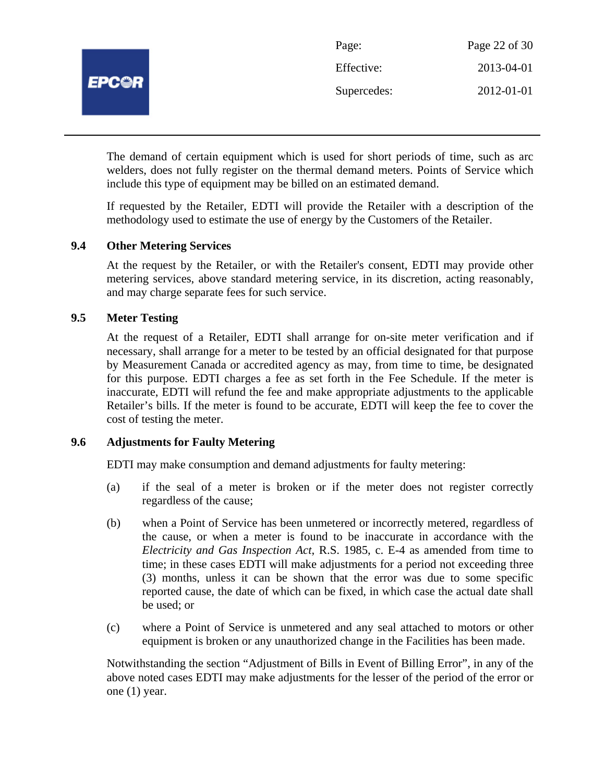

| Page:       | Page 22 of 30 |
|-------------|---------------|
| Effective:  | 2013-04-01    |
| Supercedes: | 2012-01-01    |

The demand of certain equipment which is used for short periods of time, such as arc welders, does not fully register on the thermal demand meters. Points of Service which include this type of equipment may be billed on an estimated demand.

If requested by the Retailer, EDTI will provide the Retailer with a description of the methodology used to estimate the use of energy by the Customers of the Retailer.

## **9.4 Other Metering Services**

At the request by the Retailer, or with the Retailer's consent, EDTI may provide other metering services, above standard metering service, in its discretion, acting reasonably, and may charge separate fees for such service.

## **9.5 Meter Testing**

At the request of a Retailer, EDTI shall arrange for on-site meter verification and if necessary, shall arrange for a meter to be tested by an official designated for that purpose by Measurement Canada or accredited agency as may, from time to time, be designated for this purpose. EDTI charges a fee as set forth in the Fee Schedule. If the meter is inaccurate, EDTI will refund the fee and make appropriate adjustments to the applicable Retailer's bills. If the meter is found to be accurate, EDTI will keep the fee to cover the cost of testing the meter.

## **9.6 Adjustments for Faulty Metering**

EDTI may make consumption and demand adjustments for faulty metering:

- (a) if the seal of a meter is broken or if the meter does not register correctly regardless of the cause;
- (b) when a Point of Service has been unmetered or incorrectly metered, regardless of the cause, or when a meter is found to be inaccurate in accordance with the *Electricity and Gas Inspection Act*, R.S. 1985, c. E-4 as amended from time to time; in these cases EDTI will make adjustments for a period not exceeding three (3) months, unless it can be shown that the error was due to some specific reported cause, the date of which can be fixed, in which case the actual date shall be used; or
- (c) where a Point of Service is unmetered and any seal attached to motors or other equipment is broken or any unauthorized change in the Facilities has been made.

Notwithstanding the section "Adjustment of Bills in Event of Billing Error", in any of the above noted cases EDTI may make adjustments for the lesser of the period of the error or one (1) year.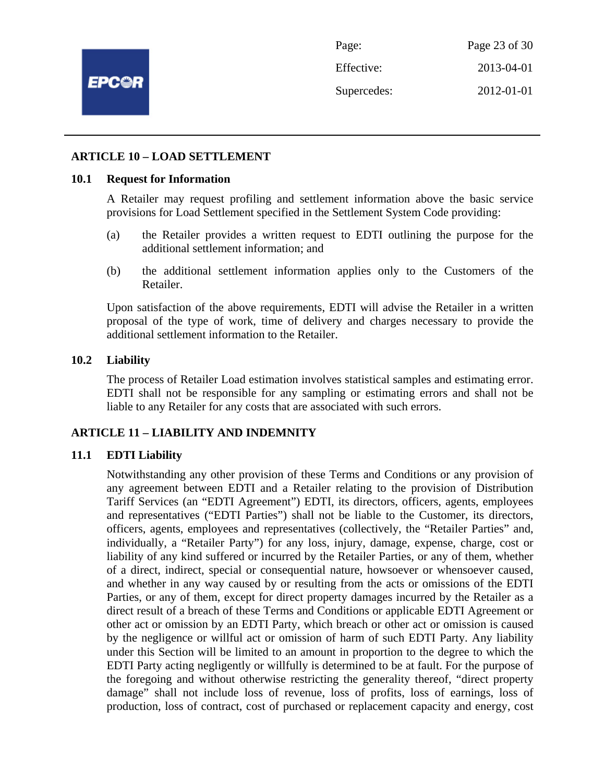

Page: Page 23 of 30 Effective: 2013-04-01 Supercedes: 2012-01-01

## **ARTICLE 10 – LOAD SETTLEMENT**

#### **10.1 Request for Information**

A Retailer may request profiling and settlement information above the basic service provisions for Load Settlement specified in the Settlement System Code providing:

- (a) the Retailer provides a written request to EDTI outlining the purpose for the additional settlement information; and
- (b) the additional settlement information applies only to the Customers of the Retailer.

Upon satisfaction of the above requirements, EDTI will advise the Retailer in a written proposal of the type of work, time of delivery and charges necessary to provide the additional settlement information to the Retailer.

## **10.2 Liability**

The process of Retailer Load estimation involves statistical samples and estimating error. EDTI shall not be responsible for any sampling or estimating errors and shall not be liable to any Retailer for any costs that are associated with such errors.

## **ARTICLE 11 – LIABILITY AND INDEMNITY**

## **11.1 EDTI Liability**

Notwithstanding any other provision of these Terms and Conditions or any provision of any agreement between EDTI and a Retailer relating to the provision of Distribution Tariff Services (an "EDTI Agreement") EDTI, its directors, officers, agents, employees and representatives ("EDTI Parties") shall not be liable to the Customer, its directors, officers, agents, employees and representatives (collectively, the "Retailer Parties" and, individually, a "Retailer Party") for any loss, injury, damage, expense, charge, cost or liability of any kind suffered or incurred by the Retailer Parties, or any of them, whether of a direct, indirect, special or consequential nature, howsoever or whensoever caused, and whether in any way caused by or resulting from the acts or omissions of the EDTI Parties, or any of them, except for direct property damages incurred by the Retailer as a direct result of a breach of these Terms and Conditions or applicable EDTI Agreement or other act or omission by an EDTI Party, which breach or other act or omission is caused by the negligence or willful act or omission of harm of such EDTI Party. Any liability under this Section will be limited to an amount in proportion to the degree to which the EDTI Party acting negligently or willfully is determined to be at fault. For the purpose of the foregoing and without otherwise restricting the generality thereof, "direct property damage" shall not include loss of revenue, loss of profits, loss of earnings, loss of production, loss of contract, cost of purchased or replacement capacity and energy, cost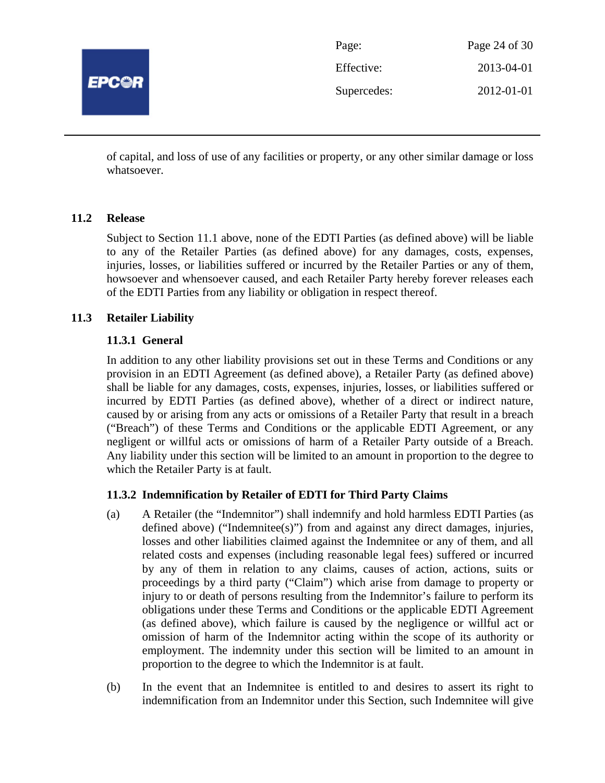

| Page:       | Page 24 of 30 |
|-------------|---------------|
| Effective:  | 2013-04-01    |
| Supercedes: | 2012-01-01    |

of capital, and loss of use of any facilities or property, or any other similar damage or loss whatsoever.

## **11.2 Release**

Subject to Section 11.1 above, none of the EDTI Parties (as defined above) will be liable to any of the Retailer Parties (as defined above) for any damages, costs, expenses, injuries, losses, or liabilities suffered or incurred by the Retailer Parties or any of them, howsoever and whensoever caused, and each Retailer Party hereby forever releases each of the EDTI Parties from any liability or obligation in respect thereof.

## **11.3 Retailer Liability**

## **11.3.1 General**

In addition to any other liability provisions set out in these Terms and Conditions or any provision in an EDTI Agreement (as defined above), a Retailer Party (as defined above) shall be liable for any damages, costs, expenses, injuries, losses, or liabilities suffered or incurred by EDTI Parties (as defined above), whether of a direct or indirect nature, caused by or arising from any acts or omissions of a Retailer Party that result in a breach ("Breach") of these Terms and Conditions or the applicable EDTI Agreement, or any negligent or willful acts or omissions of harm of a Retailer Party outside of a Breach. Any liability under this section will be limited to an amount in proportion to the degree to which the Retailer Party is at fault.

## **11.3.2 Indemnification by Retailer of EDTI for Third Party Claims**

- (a) A Retailer (the "Indemnitor") shall indemnify and hold harmless EDTI Parties (as defined above) ("Indemnitee(s)") from and against any direct damages, injuries, losses and other liabilities claimed against the Indemnitee or any of them, and all related costs and expenses (including reasonable legal fees) suffered or incurred by any of them in relation to any claims, causes of action, actions, suits or proceedings by a third party ("Claim") which arise from damage to property or injury to or death of persons resulting from the Indemnitor's failure to perform its obligations under these Terms and Conditions or the applicable EDTI Agreement (as defined above), which failure is caused by the negligence or willful act or omission of harm of the Indemnitor acting within the scope of its authority or employment. The indemnity under this section will be limited to an amount in proportion to the degree to which the Indemnitor is at fault.
- (b) In the event that an Indemnitee is entitled to and desires to assert its right to indemnification from an Indemnitor under this Section, such Indemnitee will give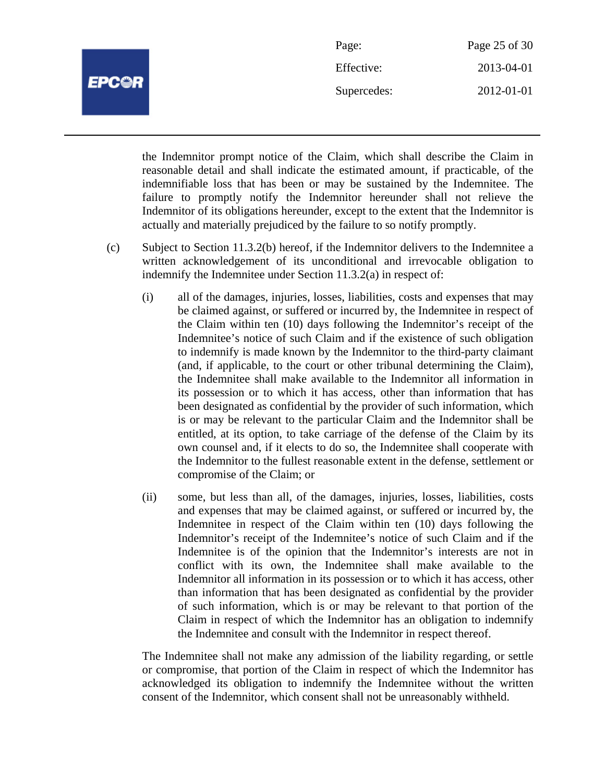

| Page:       | Page 25 of 30 |
|-------------|---------------|
| Effective:  | 2013-04-01    |
| Supercedes: | 2012-01-01    |

the Indemnitor prompt notice of the Claim, which shall describe the Claim in reasonable detail and shall indicate the estimated amount, if practicable, of the indemnifiable loss that has been or may be sustained by the Indemnitee. The failure to promptly notify the Indemnitor hereunder shall not relieve the Indemnitor of its obligations hereunder, except to the extent that the Indemnitor is actually and materially prejudiced by the failure to so notify promptly.

- (c) Subject to Section 11.3.2(b) hereof, if the Indemnitor delivers to the Indemnitee a written acknowledgement of its unconditional and irrevocable obligation to indemnify the Indemnitee under Section 11.3.2(a) in respect of:
	- (i) all of the damages, injuries, losses, liabilities, costs and expenses that may be claimed against, or suffered or incurred by, the Indemnitee in respect of the Claim within ten (10) days following the Indemnitor's receipt of the Indemnitee's notice of such Claim and if the existence of such obligation to indemnify is made known by the Indemnitor to the third-party claimant (and, if applicable, to the court or other tribunal determining the Claim), the Indemnitee shall make available to the Indemnitor all information in its possession or to which it has access, other than information that has been designated as confidential by the provider of such information, which is or may be relevant to the particular Claim and the Indemnitor shall be entitled, at its option, to take carriage of the defense of the Claim by its own counsel and, if it elects to do so, the Indemnitee shall cooperate with the Indemnitor to the fullest reasonable extent in the defense, settlement or compromise of the Claim; or
	- (ii) some, but less than all, of the damages, injuries, losses, liabilities, costs and expenses that may be claimed against, or suffered or incurred by, the Indemnitee in respect of the Claim within ten (10) days following the Indemnitor's receipt of the Indemnitee's notice of such Claim and if the Indemnitee is of the opinion that the Indemnitor's interests are not in conflict with its own, the Indemnitee shall make available to the Indemnitor all information in its possession or to which it has access, other than information that has been designated as confidential by the provider of such information, which is or may be relevant to that portion of the Claim in respect of which the Indemnitor has an obligation to indemnify the Indemnitee and consult with the Indemnitor in respect thereof.

The Indemnitee shall not make any admission of the liability regarding, or settle or compromise, that portion of the Claim in respect of which the Indemnitor has acknowledged its obligation to indemnify the Indemnitee without the written consent of the Indemnitor, which consent shall not be unreasonably withheld.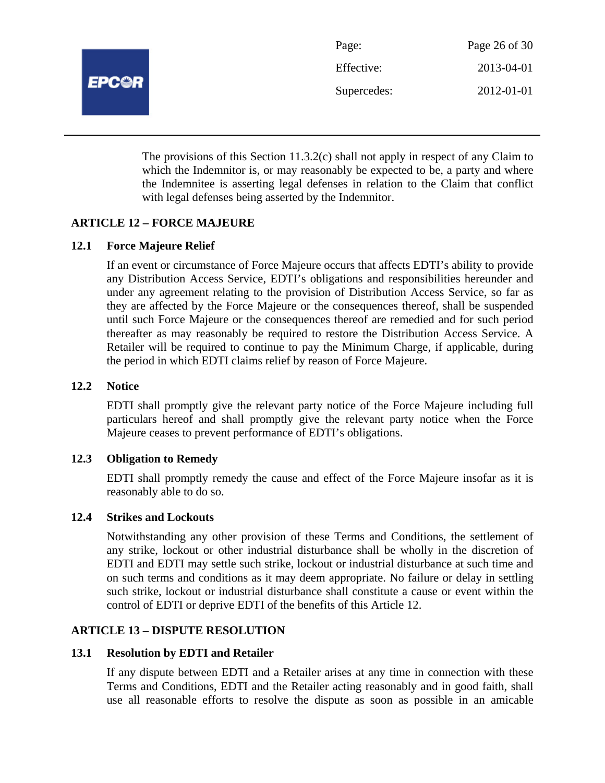

| Page:       | Page 26 of 30 |
|-------------|---------------|
| Effective:  | 2013-04-01    |
| Supercedes: | 2012-01-01    |

The provisions of this Section 11.3.2(c) shall not apply in respect of any Claim to which the Indemnitor is, or may reasonably be expected to be, a party and where the Indemnitee is asserting legal defenses in relation to the Claim that conflict with legal defenses being asserted by the Indemnitor.

## **ARTICLE 12 – FORCE MAJEURE**

## **12.1 Force Majeure Relief**

If an event or circumstance of Force Majeure occurs that affects EDTI's ability to provide any Distribution Access Service, EDTI's obligations and responsibilities hereunder and under any agreement relating to the provision of Distribution Access Service, so far as they are affected by the Force Majeure or the consequences thereof, shall be suspended until such Force Majeure or the consequences thereof are remedied and for such period thereafter as may reasonably be required to restore the Distribution Access Service. A Retailer will be required to continue to pay the Minimum Charge, if applicable, during the period in which EDTI claims relief by reason of Force Majeure.

#### **12.2 Notice**

EDTI shall promptly give the relevant party notice of the Force Majeure including full particulars hereof and shall promptly give the relevant party notice when the Force Majeure ceases to prevent performance of EDTI's obligations.

#### **12.3 Obligation to Remedy**

EDTI shall promptly remedy the cause and effect of the Force Majeure insofar as it is reasonably able to do so.

#### **12.4 Strikes and Lockouts**

Notwithstanding any other provision of these Terms and Conditions, the settlement of any strike, lockout or other industrial disturbance shall be wholly in the discretion of EDTI and EDTI may settle such strike, lockout or industrial disturbance at such time and on such terms and conditions as it may deem appropriate. No failure or delay in settling such strike, lockout or industrial disturbance shall constitute a cause or event within the control of EDTI or deprive EDTI of the benefits of this Article 12.

## **ARTICLE 13 – DISPUTE RESOLUTION**

#### **13.1 Resolution by EDTI and Retailer**

If any dispute between EDTI and a Retailer arises at any time in connection with these Terms and Conditions, EDTI and the Retailer acting reasonably and in good faith, shall use all reasonable efforts to resolve the dispute as soon as possible in an amicable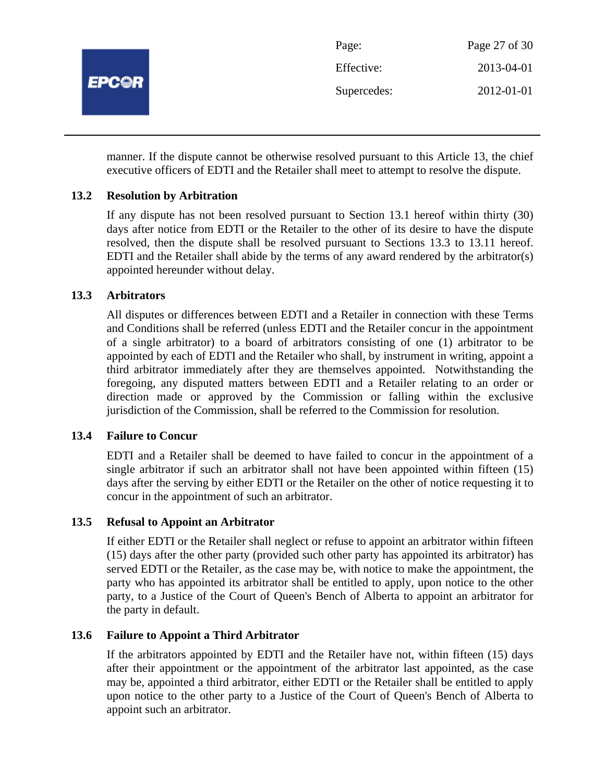

manner. If the dispute cannot be otherwise resolved pursuant to this Article 13, the chief executive officers of EDTI and the Retailer shall meet to attempt to resolve the dispute.

## **13.2 Resolution by Arbitration**

If any dispute has not been resolved pursuant to Section 13.1 hereof within thirty (30) days after notice from EDTI or the Retailer to the other of its desire to have the dispute resolved, then the dispute shall be resolved pursuant to Sections 13.3 to 13.11 hereof. EDTI and the Retailer shall abide by the terms of any award rendered by the arbitrator(s) appointed hereunder without delay.

## **13.3 Arbitrators**

All disputes or differences between EDTI and a Retailer in connection with these Terms and Conditions shall be referred (unless EDTI and the Retailer concur in the appointment of a single arbitrator) to a board of arbitrators consisting of one (1) arbitrator to be appointed by each of EDTI and the Retailer who shall, by instrument in writing, appoint a third arbitrator immediately after they are themselves appointed. Notwithstanding the foregoing, any disputed matters between EDTI and a Retailer relating to an order or direction made or approved by the Commission or falling within the exclusive jurisdiction of the Commission, shall be referred to the Commission for resolution.

## **13.4 Failure to Concur**

EDTI and a Retailer shall be deemed to have failed to concur in the appointment of a single arbitrator if such an arbitrator shall not have been appointed within fifteen (15) days after the serving by either EDTI or the Retailer on the other of notice requesting it to concur in the appointment of such an arbitrator.

## **13.5 Refusal to Appoint an Arbitrator**

If either EDTI or the Retailer shall neglect or refuse to appoint an arbitrator within fifteen (15) days after the other party (provided such other party has appointed its arbitrator) has served EDTI or the Retailer, as the case may be, with notice to make the appointment, the party who has appointed its arbitrator shall be entitled to apply, upon notice to the other party, to a Justice of the Court of Queen's Bench of Alberta to appoint an arbitrator for the party in default.

## **13.6 Failure to Appoint a Third Arbitrator**

If the arbitrators appointed by EDTI and the Retailer have not, within fifteen (15) days after their appointment or the appointment of the arbitrator last appointed, as the case may be, appointed a third arbitrator, either EDTI or the Retailer shall be entitled to apply upon notice to the other party to a Justice of the Court of Queen's Bench of Alberta to appoint such an arbitrator.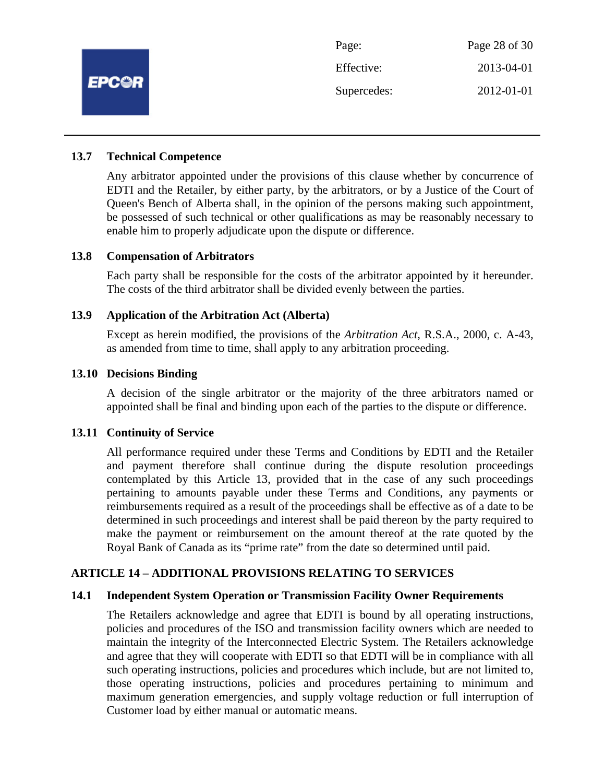

## **13.7 Technical Competence**

Any arbitrator appointed under the provisions of this clause whether by concurrence of EDTI and the Retailer, by either party, by the arbitrators, or by a Justice of the Court of Queen's Bench of Alberta shall, in the opinion of the persons making such appointment, be possessed of such technical or other qualifications as may be reasonably necessary to enable him to properly adjudicate upon the dispute or difference.

## **13.8 Compensation of Arbitrators**

Each party shall be responsible for the costs of the arbitrator appointed by it hereunder. The costs of the third arbitrator shall be divided evenly between the parties.

#### **13.9 Application of the Arbitration Act (Alberta)**

Except as herein modified, the provisions of the *Arbitration Act*, R.S.A., 2000, c. A-43, as amended from time to time, shall apply to any arbitration proceeding.

#### **13.10 Decisions Binding**

A decision of the single arbitrator or the majority of the three arbitrators named or appointed shall be final and binding upon each of the parties to the dispute or difference.

## **13.11 Continuity of Service**

All performance required under these Terms and Conditions by EDTI and the Retailer and payment therefore shall continue during the dispute resolution proceedings contemplated by this Article 13, provided that in the case of any such proceedings pertaining to amounts payable under these Terms and Conditions, any payments or reimbursements required as a result of the proceedings shall be effective as of a date to be determined in such proceedings and interest shall be paid thereon by the party required to make the payment or reimbursement on the amount thereof at the rate quoted by the Royal Bank of Canada as its "prime rate" from the date so determined until paid.

## **ARTICLE 14 – ADDITIONAL PROVISIONS RELATING TO SERVICES**

## **14.1 Independent System Operation or Transmission Facility Owner Requirements**

The Retailers acknowledge and agree that EDTI is bound by all operating instructions, policies and procedures of the ISO and transmission facility owners which are needed to maintain the integrity of the Interconnected Electric System. The Retailers acknowledge and agree that they will cooperate with EDTI so that EDTI will be in compliance with all such operating instructions, policies and procedures which include, but are not limited to, those operating instructions, policies and procedures pertaining to minimum and maximum generation emergencies, and supply voltage reduction or full interruption of Customer load by either manual or automatic means.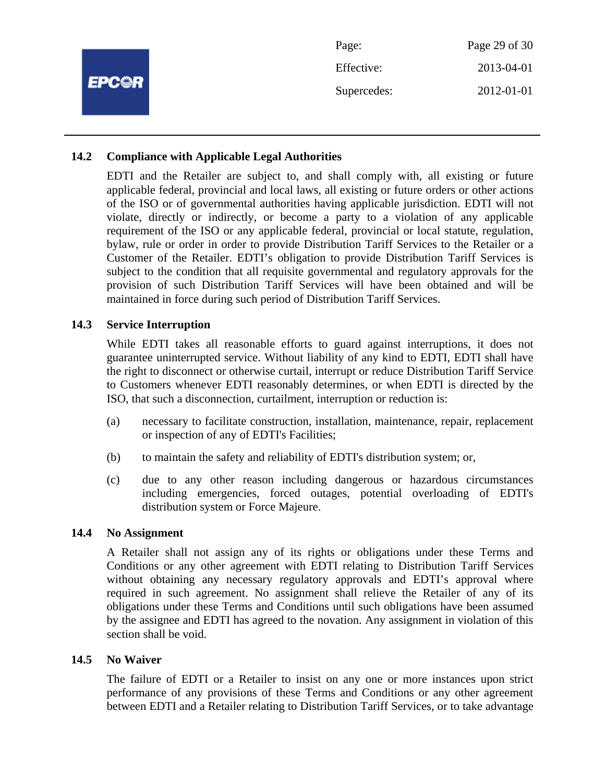|              | Page:       | Page 29 of 30 |
|--------------|-------------|---------------|
| <b>EPC@R</b> | Effective:  | 2013-04-01    |
|              | Supercedes: | 2012-01-01    |
|              |             |               |

## **14.2 Compliance with Applicable Legal Authorities**

EDTI and the Retailer are subject to, and shall comply with, all existing or future applicable federal, provincial and local laws, all existing or future orders or other actions of the ISO or of governmental authorities having applicable jurisdiction. EDTI will not violate, directly or indirectly, or become a party to a violation of any applicable requirement of the ISO or any applicable federal, provincial or local statute, regulation, bylaw, rule or order in order to provide Distribution Tariff Services to the Retailer or a Customer of the Retailer. EDTI's obligation to provide Distribution Tariff Services is subject to the condition that all requisite governmental and regulatory approvals for the provision of such Distribution Tariff Services will have been obtained and will be maintained in force during such period of Distribution Tariff Services.

## **14.3 Service Interruption**

While EDTI takes all reasonable efforts to guard against interruptions, it does not guarantee uninterrupted service. Without liability of any kind to EDTI, EDTI shall have the right to disconnect or otherwise curtail, interrupt or reduce Distribution Tariff Service to Customers whenever EDTI reasonably determines, or when EDTI is directed by the ISO, that such a disconnection, curtailment, interruption or reduction is:

- (a) necessary to facilitate construction, installation, maintenance, repair, replacement or inspection of any of EDTI's Facilities;
- (b) to maintain the safety and reliability of EDTI's distribution system; or,
- (c) due to any other reason including dangerous or hazardous circumstances including emergencies, forced outages, potential overloading of EDTI's distribution system or Force Majeure.

## **14.4 No Assignment**

A Retailer shall not assign any of its rights or obligations under these Terms and Conditions or any other agreement with EDTI relating to Distribution Tariff Services without obtaining any necessary regulatory approvals and EDTI's approval where required in such agreement. No assignment shall relieve the Retailer of any of its obligations under these Terms and Conditions until such obligations have been assumed by the assignee and EDTI has agreed to the novation. Any assignment in violation of this section shall be void.

## **14.5 No Waiver**

The failure of EDTI or a Retailer to insist on any one or more instances upon strict performance of any provisions of these Terms and Conditions or any other agreement between EDTI and a Retailer relating to Distribution Tariff Services, or to take advantage